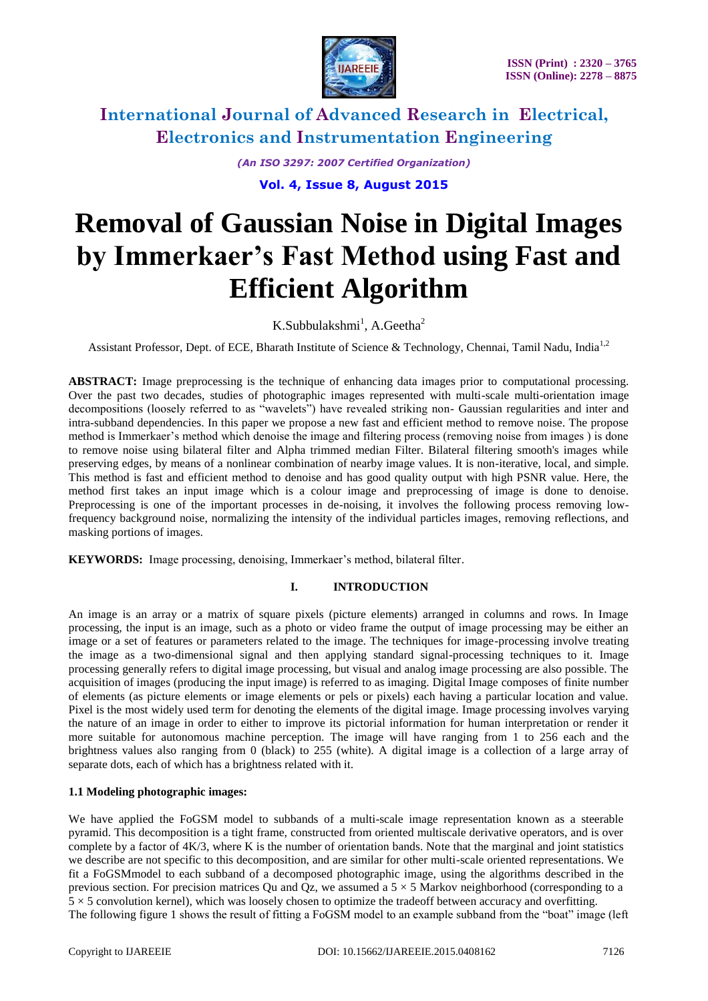

*(An ISO 3297: 2007 Certified Organization)*

**Vol. 4, Issue 8, August 2015**

# **Removal of Gaussian Noise in Digital Images by Immerkaer's Fast Method using Fast and Efficient Algorithm**

 $K.S$ ubbulakshmi<sup>1</sup>, A.Geetha<sup>2</sup>

Assistant Professor, Dept. of ECE, Bharath Institute of Science & Technology, Chennai, Tamil Nadu, India<sup>1,2</sup>

**ABSTRACT:** Image preprocessing is the technique of enhancing data images prior to computational processing. Over the past two decades, studies of photographic images represented with multi-scale multi-orientation image decompositions (loosely referred to as "wavelets") have revealed striking non- Gaussian regularities and inter and intra-subband dependencies. In this paper we propose a new fast and efficient method to remove noise. The propose method is Immerkaer's method which denoise the image and filtering process (removing noise from images ) is done to remove noise using bilateral filter and Alpha trimmed median Filter. Bilateral filtering smooth's images while preserving edges, by means of a nonlinear combination of nearby image values. It is non-iterative, local, and simple. This method is fast and efficient method to denoise and has good quality output with high PSNR value. Here, the method first takes an input image which is a colour image and preprocessing of image is done to denoise. Preprocessing is one of the important processes in de-noising, it involves the following process removing lowfrequency background noise, normalizing the intensity of the individual particles images, removing reflections, and masking portions of images.

**KEYWORDS:** Image processing, denoising, Immerkaer's method, bilateral filter.

### **I. INTRODUCTION**

An image is an array or a matrix of square pixels (picture elements) arranged in columns and rows. In Image processing, the input is an image, such as a photo or video frame the output of image processing may be either an image or a set of features or parameters related to the image. The techniques for image-processing involve treating the image as a two-dimensional signal and then applying standard signal-processing techniques to it. Image processing generally refers to digital image processing, but visual and analog image processing are also possible. The acquisition of images (producing the input image) is referred to as imaging. Digital Image composes of finite number of elements (as picture elements or image elements or pels or pixels) each having a particular location and value. Pixel is the most widely used term for denoting the elements of the digital image. Image processing involves varying the nature of an image in order to either to improve its pictorial information for human interpretation or render it more suitable for autonomous machine perception. The image will have ranging from 1 to 256 each and the brightness values also ranging from 0 (black) to 255 (white). A digital image is a collection of a large array of separate dots, each of which has a brightness related with it.

### **1.1 Modeling photographic images:**

We have applied the FoGSM model to subbands of a multi-scale image representation known as a steerable pyramid. This decomposition is a tight frame, constructed from oriented multiscale derivative operators, and is over complete by a factor of 4K/3, where K is the number of orientation bands. Note that the marginal and joint statistics we describe are not specific to this decomposition, and are similar for other multi-scale oriented representations. We fit a FoGSMmodel to each subband of a decomposed photographic image, using the algorithms described in the previous section. For precision matrices Qu and Qz, we assumed a  $5 \times 5$  Markov neighborhood (corresponding to a  $5 \times 5$  convolution kernel), which was loosely chosen to optimize the tradeoff between accuracy and overfitting. The following figure 1 shows the result of fitting a FoGSM model to an example subband from the "boat" image (left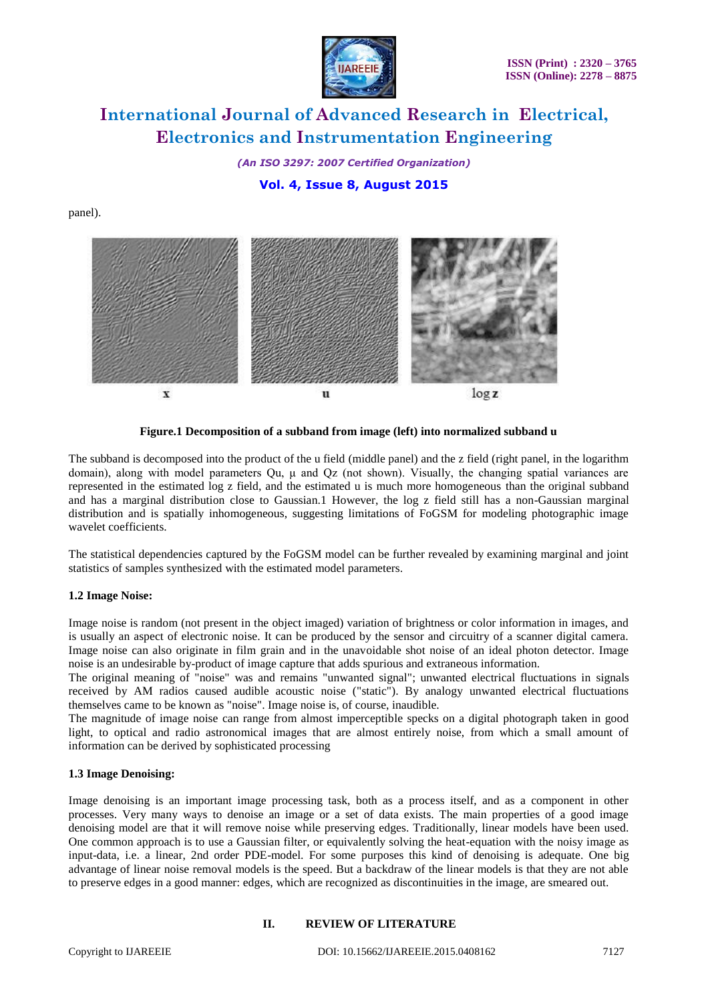

*(An ISO 3297: 2007 Certified Organization)*

**Vol. 4, Issue 8, August 2015**

panel).



**Figure.1 Decomposition of a subband from image (left) into normalized subband u**

The subband is decomposed into the product of the u field (middle panel) and the z field (right panel, in the logarithm domain), along with model parameters Qu, μ and Qz (not shown). Visually, the changing spatial variances are represented in the estimated log z field, and the estimated u is much more homogeneous than the original subband and has a marginal distribution close to Gaussian.1 However, the log z field still has a non-Gaussian marginal distribution and is spatially inhomogeneous, suggesting limitations of FoGSM for modeling photographic image wavelet coefficients.

The statistical dependencies captured by the FoGSM model can be further revealed by examining marginal and joint statistics of samples synthesized with the estimated model parameters.

### **1.2 Image Noise:**

Image noise is random (not present in the object imaged) variation of brightness or color information in images, and is usually an aspect of electronic noise. It can be produced by the sensor and circuitry of a scanner digital camera. Image noise can also originate in film grain and in the unavoidable shot noise of an ideal photon detector. Image noise is an undesirable by-product of image capture that adds spurious and extraneous information.

The original meaning of "noise" was and remains "unwanted signal"; unwanted electrical fluctuations in signals received by AM radios caused audible acoustic noise ("static"). By analogy unwanted electrical fluctuations themselves came to be known as "noise". Image noise is, of course, inaudible.

The magnitude of image noise can range from almost imperceptible specks on a digital photograph taken in good light, to optical and radio astronomical images that are almost entirely noise, from which a small amount of information can be derived by sophisticated processing

### **1.3 Image Denoising:**

Image denoising is an important image processing task, both as a process itself, and as a component in other processes. Very many ways to denoise an image or a set of data exists. The main properties of a good image denoising model are that it will remove noise while preserving edges. Traditionally, linear models have been used. One common approach is to use a Gaussian filter, or equivalently solving the heat-equation with the noisy image as input-data, i.e. a linear, 2nd order PDE-model. For some purposes this kind of denoising is adequate. One big advantage of linear noise removal models is the speed. But a backdraw of the linear models is that they are not able to preserve edges in a good manner: edges, which are recognized as discontinuities in the image, are smeared out.

### **II. REVIEW OF LITERATURE**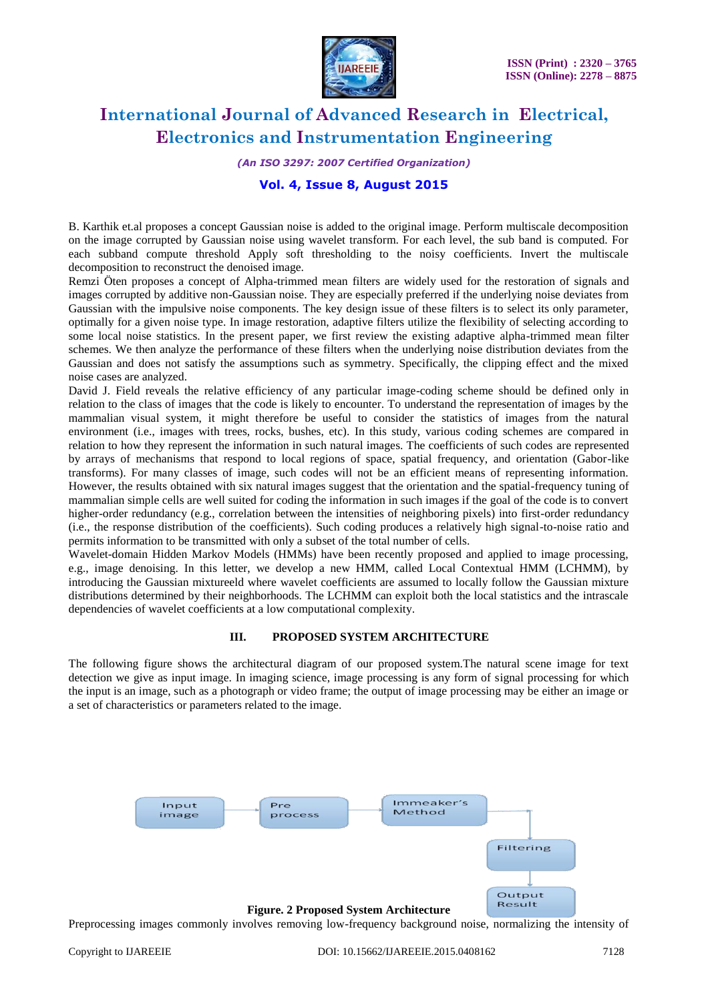

*(An ISO 3297: 2007 Certified Organization)*

### **Vol. 4, Issue 8, August 2015**

B. Karthik et.al proposes a concept Gaussian noise is added to the original image. Perform multiscale decomposition on the image corrupted by Gaussian noise using wavelet transform. For each level, the sub band is computed. For each subband compute threshold Apply soft thresholding to the noisy coefficients. Invert the multiscale decomposition to reconstruct the denoised image.

Remzi Öten proposes a concept of Alpha-trimmed mean filters are widely used for the restoration of signals and images corrupted by additive non-Gaussian noise. They are especially preferred if the underlying noise deviates from Gaussian with the impulsive noise components. The key design issue of these filters is to select its only parameter, optimally for a given noise type. In image restoration, adaptive filters utilize the flexibility of selecting according to some local noise statistics. In the present paper, we first review the existing adaptive alpha-trimmed mean filter schemes. We then analyze the performance of these filters when the underlying noise distribution deviates from the Gaussian and does not satisfy the assumptions such as symmetry. Specifically, the clipping effect and the mixed noise cases are analyzed.

David J. Field reveals the relative efficiency of any particular image-coding scheme should be defined only in relation to the class of images that the code is likely to encounter. To understand the representation of images by the mammalian visual system, it might therefore be useful to consider the statistics of images from the natural environment (i.e., images with trees, rocks, bushes, etc). In this study, various coding schemes are compared in relation to how they represent the information in such natural images. The coefficients of such codes are represented by arrays of mechanisms that respond to local regions of space, spatial frequency, and orientation (Gabor-like transforms). For many classes of image, such codes will not be an efficient means of representing information. However, the results obtained with six natural images suggest that the orientation and the spatial-frequency tuning of mammalian simple cells are well suited for coding the information in such images if the goal of the code is to convert higher-order redundancy (e.g., correlation between the intensities of neighboring pixels) into first-order redundancy (i.e., the response distribution of the coefficients). Such coding produces a relatively high signal-to-noise ratio and permits information to be transmitted with only a subset of the total number of cells.

Wavelet-domain Hidden Markov Models (HMMs) have been recently proposed and applied to image processing, e.g., image denoising. In this letter, we develop a new HMM, called Local Contextual HMM (LCHMM), by introducing the Gaussian mixtureeld where wavelet coefficients are assumed to locally follow the Gaussian mixture distributions determined by their neighborhoods. The LCHMM can exploit both the local statistics and the intrascale dependencies of wavelet coefficients at a low computational complexity.

#### **III. PROPOSED SYSTEM ARCHITECTURE**

The following figure shows the architectural diagram of our proposed system.The natural scene image for text detection we give as input image. In imaging science, image processing is any form of signal processing for which the input is an image, such as a photograph or video frame; the output of image processing may be either an image or a set of characteristics or parameters related to the image.



Preprocessing images commonly involves removing low-frequency background noise, normalizing the intensity of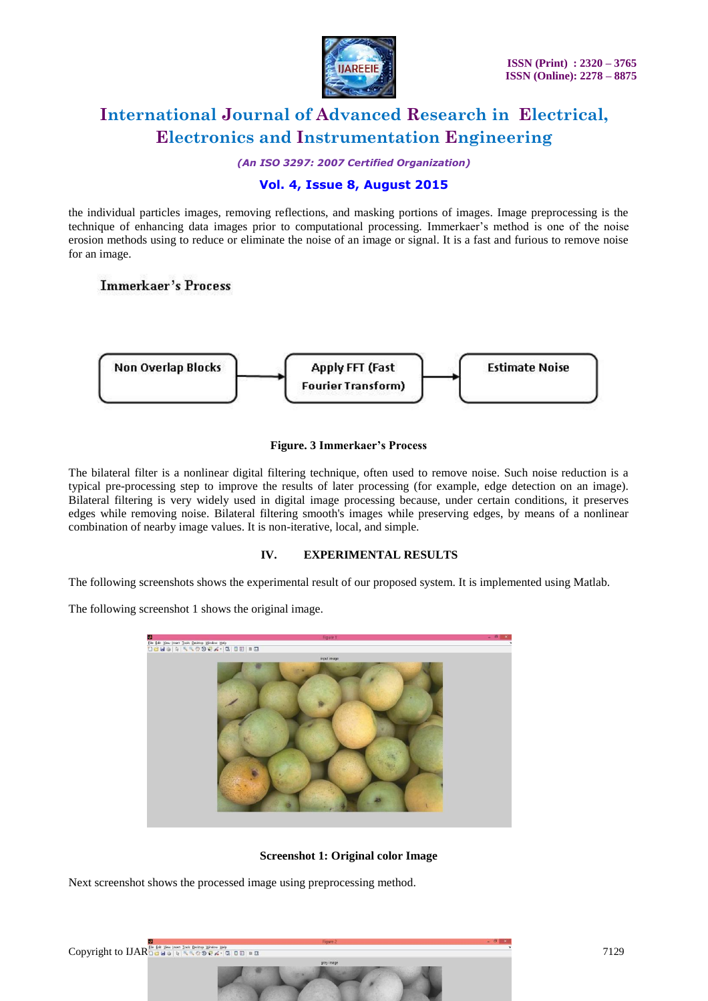

*(An ISO 3297: 2007 Certified Organization)*

### **Vol. 4, Issue 8, August 2015**

the individual particles images, removing reflections, and masking portions of images. Image preprocessing is the technique of enhancing data images prior to computational processing. Immerkaer's method is one of the noise erosion methods using to reduce or eliminate the noise of an image or signal. It is a fast and furious to remove noise for an image.

### **Immerkaer's Process**



### **Figure. 3 Immerkaer's Process**

The bilateral filter is a nonlinear digital filtering technique, often used to remove noise. Such noise reduction is a typical pre-processing step to improve the results of later processing (for example, edge detection on an image). Bilateral filtering is very widely used in digital image processing because, under certain conditions, it preserves edges while removing noise. Bilateral filtering smooth's images while preserving edges, by means of a nonlinear combination of nearby image values. It is non-iterative, local, and simple.

### **IV. EXPERIMENTAL RESULTS**

The following screenshots shows the experimental result of our proposed system. It is implemented using Matlab.

The following screenshot 1 shows the original image.



**Screenshot 1: Original color Image**

Next screenshot shows the processed image using preprocessing method.

Copyright to IJAREE dat yes just 10.01 person years and the company of the company of the company of the company of the company of the company of the company of the company of the company of the company of the company of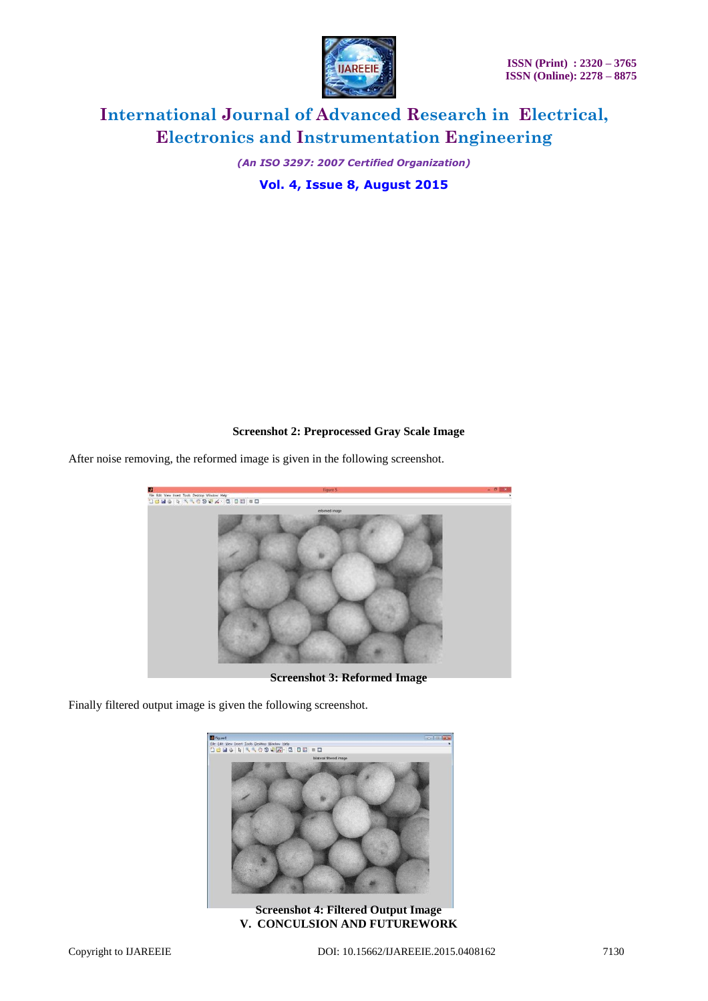

*(An ISO 3297: 2007 Certified Organization)*

**Vol. 4, Issue 8, August 2015**

### **Screenshot 2: Preprocessed Gray Scale Image**

After noise removing, the reformed image is given in the following screenshot.



**Screenshot 3: Reformed Image**

Finally filtered output image is given the following screenshot.



**Screenshot 4: Filtered Output Image V. CONCULSION AND FUTUREWORK**